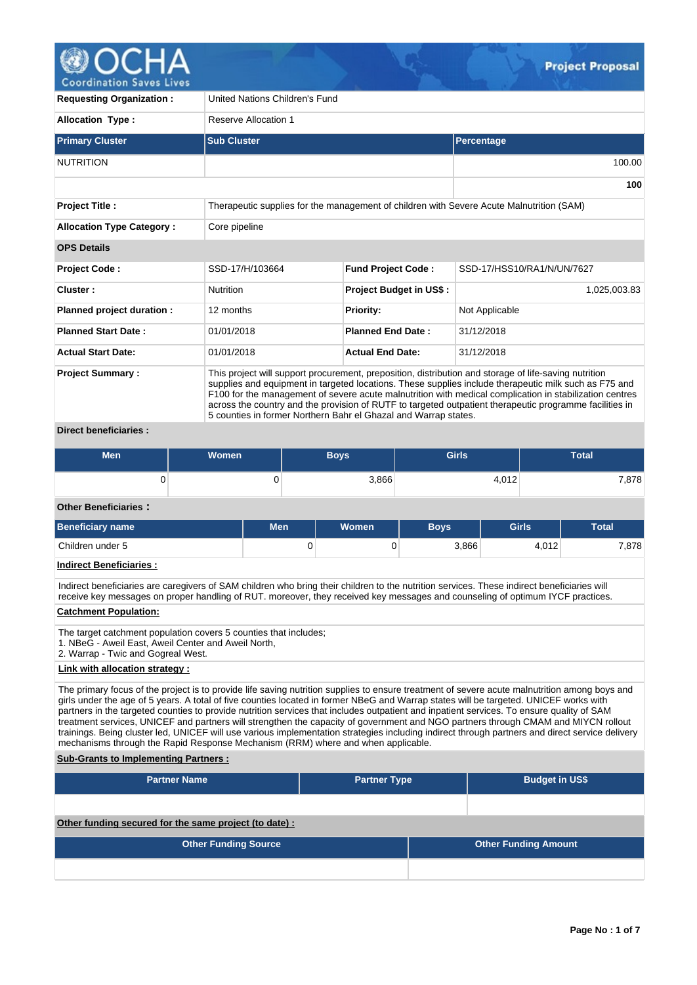

**Requesting Organization :** United Nations Children's Fund **Allocation Type :** Reserve Allocation 1 **Primary Cluster Sub Cluster Sub Cluster** Sub Cluster Sub Cluster Sub Cluster Sub Cluster Sub Cluster Sub Cluster NUTRITION 100.00 **100 Project Title :** Therapeutic supplies for the management of children with Severe Acute Malnutrition (SAM) **Allocation Type Category :** Core pipeline **OPS Details Project Code :** SSD-17/H/103664 **Fund Project Code :** SSD-17/HSS10/RA1/N/UN/7627 **Cluster :** Nutrition **Project Budget in US\$ :** 1,025,003.83 **Planned project duration :** 12 months **Priority:** Not Applicable **Planned Start Date :** 01/01/2018 **Planned End Date :** 31/12/2018 **Actual Start Date:** 01/01/2018 **Actual End Date:** 31/12/2018 **Project Summary :** This project will support procurement, preposition, distribution and storage of life-saving nutrition supplies and equipment in targeted locations. These supplies include therapeutic milk such as F75 and F100 for the management of severe acute malnutrition with medical complication in stabilization centres across the country and the provision of RUTF to targeted outpatient therapeutic programme facilities in 5 counties in former Northern Bahr el Ghazal and Warrap states.

# **Direct beneficiaries :**

| <b>Men</b> | <b>Women</b> | Boys' | <b>Girls</b> | Total |
|------------|--------------|-------|--------------|-------|
|            |              | 3,866 | 4,012        | 7,878 |

## **Other Beneficiaries :**

| <b>Beneficiary name</b> | Men | <b>Women</b> | <b>Boys</b> | <b>Girls</b> | <b>Total</b> |  |
|-------------------------|-----|--------------|-------------|--------------|--------------|--|
| Children under 5        | U   |              | 3,866       | 4.012        | 7,878        |  |

### **Indirect Beneficiaries :**

Indirect beneficiaries are caregivers of SAM children who bring their children to the nutrition services. These indirect beneficiaries will receive key messages on proper handling of RUT. moreover, they received key messages and counseling of optimum IYCF practices.

# **Catchment Population:**

- The target catchment population covers 5 counties that includes;
- 1. NBeG Aweil East, Aweil Center and Aweil North,
- 2. Warrap Twic and Gogreal West.

### **Link with allocation strategy :**

The primary focus of the project is to provide life saving nutrition supplies to ensure treatment of severe acute malnutrition among boys and girls under the age of 5 years. A total of five counties located in former NBeG and Warrap states will be targeted. UNICEF works with partners in the targeted counties to provide nutrition services that includes outpatient and inpatient services. To ensure quality of SAM treatment services, UNICEF and partners will strengthen the capacity of government and NGO partners through CMAM and MIYCN rollout trainings. Being cluster led, UNICEF will use various implementation strategies including indirect through partners and direct service delivery mechanisms through the Rapid Response Mechanism (RRM) where and when applicable.

### **Sub-Grants to Implementing Partners :**

| <b>Partner Name</b>                                    | <b>Partner Type</b> | <b>Budget in US\$</b>       |
|--------------------------------------------------------|---------------------|-----------------------------|
|                                                        |                     |                             |
| Other funding secured for the same project (to date) : |                     |                             |
| <b>Other Funding Source</b>                            |                     | <b>Other Funding Amount</b> |
|                                                        |                     |                             |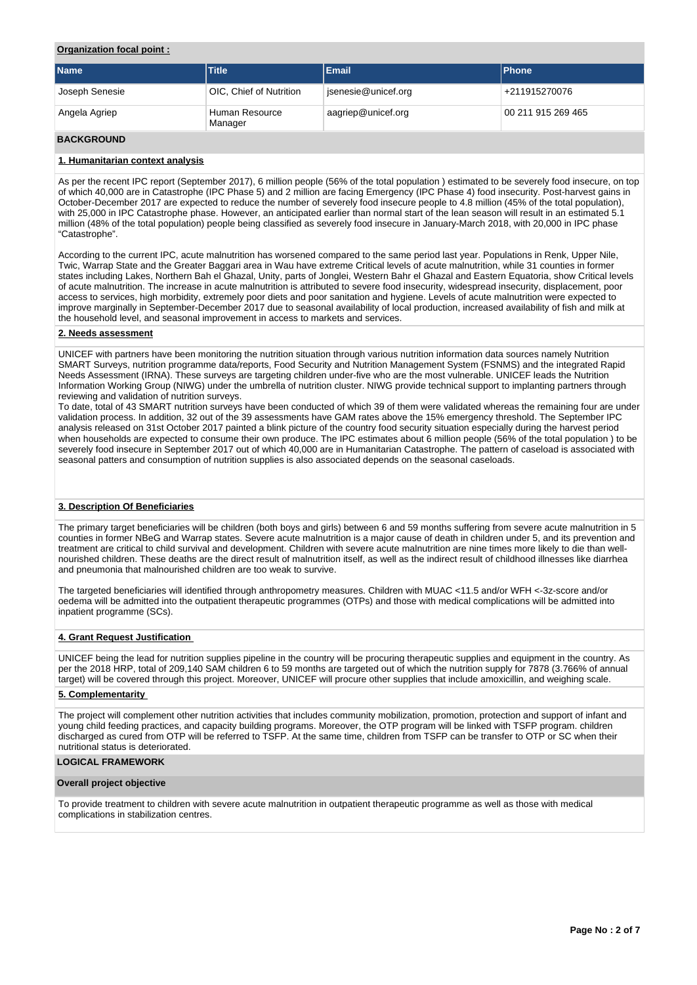## **Organization focal point :**

| <b>Name</b>    | <b>Title</b>              | Email               | <b>IPhone</b>      |
|----------------|---------------------------|---------------------|--------------------|
| Joseph Senesie | OIC, Chief of Nutrition   | jsenesie@unicef.org | +211915270076      |
| Angela Agriep  | Human Resource<br>Manager | aagriep@unicef.org  | 00 211 915 269 465 |

# **BACKGROUND**

## **1. Humanitarian context analysis**

As per the recent IPC report (September 2017), 6 million people (56% of the total population ) estimated to be severely food insecure, on top of which 40,000 are in Catastrophe (IPC Phase 5) and 2 million are facing Emergency (IPC Phase 4) food insecurity. Post-harvest gains in October-December 2017 are expected to reduce the number of severely food insecure people to 4.8 million (45% of the total population), with 25,000 in IPC Catastrophe phase. However, an anticipated earlier than normal start of the lean season will result in an estimated 5.1 million (48% of the total population) people being classified as severely food insecure in January-March 2018, with 20,000 in IPC phase "Catastrophe".

According to the current IPC, acute malnutrition has worsened compared to the same period last year. Populations in Renk, Upper Nile, Twic, Warrap State and the Greater Baggari area in Wau have extreme Critical levels of acute malnutrition, while 31 counties in former states including Lakes, Northern Bah el Ghazal, Unity, parts of Jonglei, Western Bahr el Ghazal and Eastern Equatoria, show Critical levels of acute malnutrition. The increase in acute malnutrition is attributed to severe food insecurity, widespread insecurity, displacement, poor access to services, high morbidity, extremely poor diets and poor sanitation and hygiene. Levels of acute malnutrition were expected to improve marginally in September-December 2017 due to seasonal availability of local production, increased availability of fish and milk at the household level, and seasonal improvement in access to markets and services.

### **2. Needs assessment**

UNICEF with partners have been monitoring the nutrition situation through various nutrition information data sources namely Nutrition SMART Surveys, nutrition programme data/reports, Food Security and Nutrition Management System (FSNMS) and the integrated Rapid Needs Assessment (IRNA). These surveys are targeting children under-five who are the most vulnerable. UNICEF leads the Nutrition Information Working Group (NIWG) under the umbrella of nutrition cluster. NIWG provide technical support to implanting partners through reviewing and validation of nutrition surveys.

To date, total of 43 SMART nutrition surveys have been conducted of which 39 of them were validated whereas the remaining four are under validation process. In addition, 32 out of the 39 assessments have GAM rates above the 15% emergency threshold. The September IPC analysis released on 31st October 2017 painted a blink picture of the country food security situation especially during the harvest period when households are expected to consume their own produce. The IPC estimates about 6 million people (56% of the total population ) to be severely food insecure in September 2017 out of which 40,000 are in Humanitarian Catastrophe. The pattern of caseload is associated with seasonal patters and consumption of nutrition supplies is also associated depends on the seasonal caseloads.

### **3. Description Of Beneficiaries**

The primary target beneficiaries will be children (both boys and girls) between 6 and 59 months suffering from severe acute malnutrition in 5 counties in former NBeG and Warrap states. Severe acute malnutrition is a major cause of death in children under 5, and its prevention and treatment are critical to child survival and development. Children with severe acute malnutrition are nine times more likely to die than wellnourished children. These deaths are the direct result of malnutrition itself, as well as the indirect result of childhood illnesses like diarrhea and pneumonia that malnourished children are too weak to survive.

The targeted beneficiaries will identified through anthropometry measures. Children with MUAC <11.5 and/or WFH <-3z-score and/or oedema will be admitted into the outpatient therapeutic programmes (OTPs) and those with medical complications will be admitted into inpatient programme (SCs).

### **4. Grant Request Justification**

UNICEF being the lead for nutrition supplies pipeline in the country will be procuring therapeutic supplies and equipment in the country. As per the 2018 HRP, total of 209,140 SAM children 6 to 59 months are targeted out of which the nutrition supply for 7878 (3.766% of annual target) will be covered through this project. Moreover, UNICEF will procure other supplies that include amoxicillin, and weighing scale.

### **5. Complementarity**

The project will complement other nutrition activities that includes community mobilization, promotion, protection and support of infant and young child feeding practices, and capacity building programs. Moreover, the OTP program will be linked with TSFP program. children discharged as cured from OTP will be referred to TSFP. At the same time, children from TSFP can be transfer to OTP or SC when their nutritional status is deteriorated.

# **LOGICAL FRAMEWORK**

### **Overall project objective**

To provide treatment to children with severe acute malnutrition in outpatient therapeutic programme as well as those with medical complications in stabilization centres.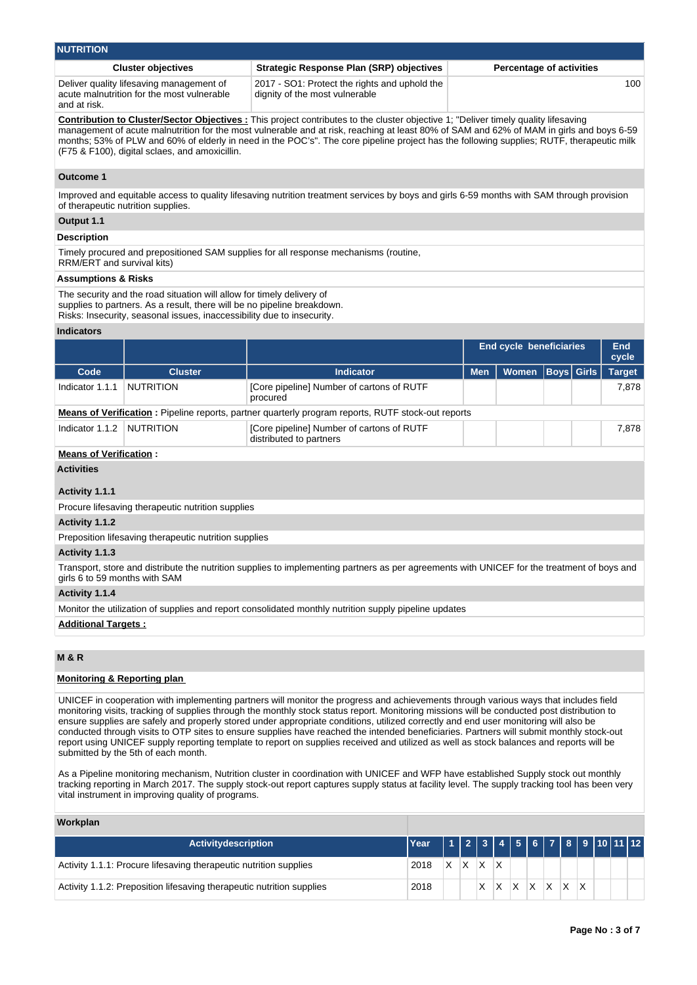| <b>NUTRITION</b>                                                                                       |                                                                                 |                                 |  |  |  |  |  |  |  |  |
|--------------------------------------------------------------------------------------------------------|---------------------------------------------------------------------------------|---------------------------------|--|--|--|--|--|--|--|--|
| <b>Cluster objectives</b>                                                                              | <b>Strategic Response Plan (SRP) objectives</b>                                 | <b>Percentage of activities</b> |  |  |  |  |  |  |  |  |
| Deliver quality lifesaving management of<br>acute malnutrition for the most vulnerable<br>and at risk. | 2017 - SO1: Protect the rights and uphold the<br>dignity of the most vulnerable | 100                             |  |  |  |  |  |  |  |  |

**Contribution to Cluster/Sector Objectives :** This project contributes to the cluster objective 1; "Deliver timely quality lifesaving management of acute malnutrition for the most vulnerable and at risk, reaching at least 80% of SAM and 62% of MAM in girls and boys 6-59 months; 53% of PLW and 60% of elderly in need in the POC's". The core pipeline project has the following supplies; RUTF, therapeutic milk (F75 & F100), digital sclaes, and amoxicillin.

### **Outcome 1**

Improved and equitable access to quality lifesaving nutrition treatment services by boys and girls 6-59 months with SAM through provision of therapeutic nutrition supplies.

## **Output 1.1**

# **Description**

Timely procured and prepositioned SAM supplies for all response mechanisms (routine, RRM/ERT and survival kits)

### **Assumptions & Risks**

The security and the road situation will allow for timely delivery of supplies to partners. As a result, there will be no pipeline breakdown. Risks: Insecurity, seasonal issues, inaccessibility due to insecurity.

# **Indicators**

|                 |                  |                                                                                                           |            | <b>End cycle beneficiaries</b> |  | End<br>cycle  |
|-----------------|------------------|-----------------------------------------------------------------------------------------------------------|------------|--------------------------------|--|---------------|
| Code            | <b>Cluster</b>   | <b>Indicator</b>                                                                                          | <b>Men</b> | Women Boys Girls               |  | <b>Target</b> |
| Indicator 1.1.1 | <b>NUTRITION</b> | [Core pipeline] Number of cartons of RUTF<br>procured                                                     |            |                                |  | 7.878         |
|                 |                  | <b>Means of Verification:</b> Pipeline reports, partner quarterly program reports, RUTF stock-out reports |            |                                |  |               |
| Indicator 1.1.2 | NUTRITION        | [Core pipeline] Number of cartons of RUTF<br>distributed to partners                                      |            |                                |  | 7.878         |

### **Means of Verification :**

### **Activities**

## **Activity 1.1.1**

Procure lifesaving therapeutic nutrition supplies

#### **Activity 1.1.2**

Preposition lifesaving therapeutic nutrition supplies

### **Activity 1.1.3**

Transport, store and distribute the nutrition supplies to implementing partners as per agreements with UNICEF for the treatment of boys and girls 6 to 59 months with SAM

### **Activity 1.1.4**

Monitor the utilization of supplies and report consolidated monthly nutrition supply pipeline updates

### **Additional Targets :**

# **M & R**

### **Monitoring & Reporting plan**

UNICEF in cooperation with implementing partners will monitor the progress and achievements through various ways that includes field monitoring visits, tracking of supplies through the monthly stock status report. Monitoring missions will be conducted post distribution to ensure supplies are safely and properly stored under appropriate conditions, utilized correctly and end user monitoring will also be conducted through visits to OTP sites to ensure supplies have reached the intended beneficiaries. Partners will submit monthly stock-out report using UNICEF supply reporting template to report on supplies received and utilized as well as stock balances and reports will be submitted by the 5th of each month.

As a Pipeline monitoring mechanism, Nutrition cluster in coordination with UNICEF and WFP have established Supply stock out monthly tracking reporting in March 2017. The supply stock-out report captures supply status at facility level. The supply tracking tool has been very vital instrument in improving quality of programs.

### **Workplan**

| <b>Activitydescription</b>                                            | Year   1   2   3   4   5   6   7   8   9   10   11   12 |  |                 |  |                         |    |  |  |
|-----------------------------------------------------------------------|---------------------------------------------------------|--|-----------------|--|-------------------------|----|--|--|
| Activity 1.1.1: Procure lifesaving therapeutic nutrition supplies     | 2018                                                    |  | $X$ $X$ $X$ $X$ |  |                         |    |  |  |
| Activity 1.1.2: Preposition lifesaving therapeutic nutrition supplies | 2018                                                    |  |                 |  | $ X $ $ X $ $ X $ $ X $ | XX |  |  |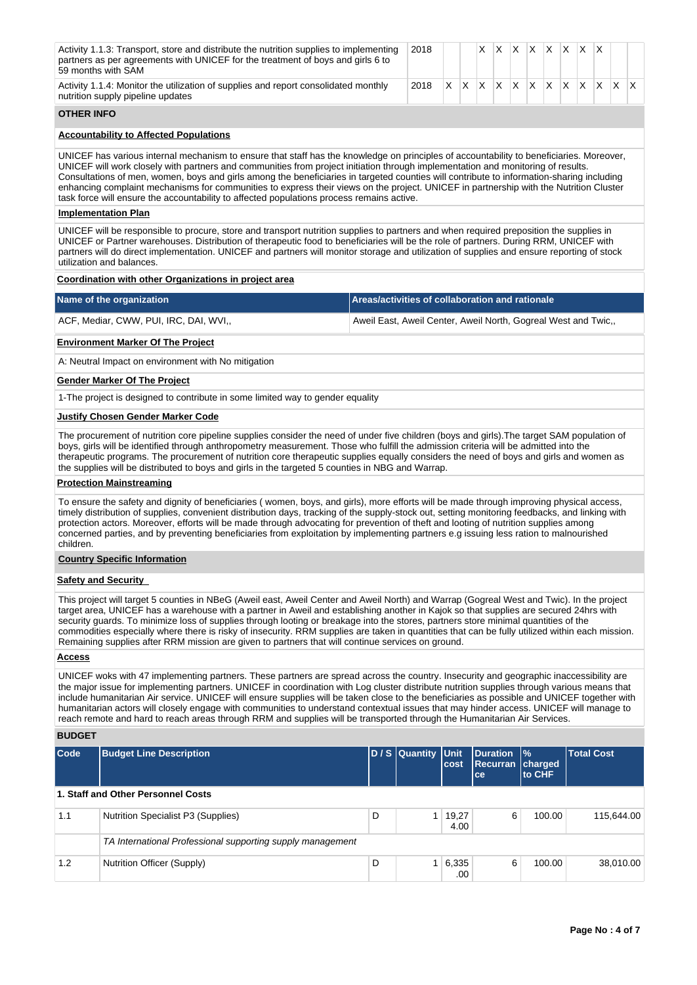|                                                                                                                                                                                                                                                                                                                                                                                                                                                                                                                                                                                                                                                                  | Activity 1.1.3: Transport, store and distribute the nutrition supplies to implementing<br>partners as per agreements with UNICEF for the treatment of boys and girls 6 to<br>59 months with SAM                                                                                                                                                                                                                                                                                                                                                                                                                                                                                                            |   | 2018                                                           |                        | X.  | X.                          |      | $X$ $X$ $X$ $X$ $X$ |    |                   |             |           |    |
|------------------------------------------------------------------------------------------------------------------------------------------------------------------------------------------------------------------------------------------------------------------------------------------------------------------------------------------------------------------------------------------------------------------------------------------------------------------------------------------------------------------------------------------------------------------------------------------------------------------------------------------------------------------|------------------------------------------------------------------------------------------------------------------------------------------------------------------------------------------------------------------------------------------------------------------------------------------------------------------------------------------------------------------------------------------------------------------------------------------------------------------------------------------------------------------------------------------------------------------------------------------------------------------------------------------------------------------------------------------------------------|---|----------------------------------------------------------------|------------------------|-----|-----------------------------|------|---------------------|----|-------------------|-------------|-----------|----|
|                                                                                                                                                                                                                                                                                                                                                                                                                                                                                                                                                                                                                                                                  | Activity 1.1.4: Monitor the utilization of supplies and report consolidated monthly<br>nutrition supply pipeline updates                                                                                                                                                                                                                                                                                                                                                                                                                                                                                                                                                                                   |   | 2018                                                           | X.<br>$\mathsf{X}$     | IX. | X.                          | X.   | X.<br>IX.           | X. | ΙX.               | $ X $ $ X $ |           | X. |
| <b>OTHER INFO</b>                                                                                                                                                                                                                                                                                                                                                                                                                                                                                                                                                                                                                                                |                                                                                                                                                                                                                                                                                                                                                                                                                                                                                                                                                                                                                                                                                                            |   |                                                                |                        |     |                             |      |                     |    |                   |             |           |    |
| <b>Accountability to Affected Populations</b>                                                                                                                                                                                                                                                                                                                                                                                                                                                                                                                                                                                                                    |                                                                                                                                                                                                                                                                                                                                                                                                                                                                                                                                                                                                                                                                                                            |   |                                                                |                        |     |                             |      |                     |    |                   |             |           |    |
| UNICEF has various internal mechanism to ensure that staff has the knowledge on principles of accountability to beneficiaries. Moreover,<br>UNICEF will work closely with partners and communities from project initiation through implementation and monitoring of results.<br>Consultations of men, women, boys and girls among the beneficiaries in targeted counties will contribute to information-sharing including<br>enhancing complaint mechanisms for communities to express their views on the project. UNICEF in partnership with the Nutrition Cluster<br>task force will ensure the accountability to affected populations process remains active. |                                                                                                                                                                                                                                                                                                                                                                                                                                                                                                                                                                                                                                                                                                            |   |                                                                |                        |     |                             |      |                     |    |                   |             |           |    |
| <b>Implementation Plan</b>                                                                                                                                                                                                                                                                                                                                                                                                                                                                                                                                                                                                                                       |                                                                                                                                                                                                                                                                                                                                                                                                                                                                                                                                                                                                                                                                                                            |   |                                                                |                        |     |                             |      |                     |    |                   |             |           |    |
| UNICEF will be responsible to procure, store and transport nutrition supplies to partners and when required preposition the supplies in<br>UNICEF or Partner warehouses. Distribution of therapeutic food to beneficiaries will be the role of partners. During RRM, UNICEF with<br>partners will do direct implementation. UNICEF and partners will monitor storage and utilization of supplies and ensure reporting of stock<br>utilization and balances.                                                                                                                                                                                                      |                                                                                                                                                                                                                                                                                                                                                                                                                                                                                                                                                                                                                                                                                                            |   |                                                                |                        |     |                             |      |                     |    |                   |             |           |    |
|                                                                                                                                                                                                                                                                                                                                                                                                                                                                                                                                                                                                                                                                  | Coordination with other Organizations in project area                                                                                                                                                                                                                                                                                                                                                                                                                                                                                                                                                                                                                                                      |   |                                                                |                        |     |                             |      |                     |    |                   |             |           |    |
|                                                                                                                                                                                                                                                                                                                                                                                                                                                                                                                                                                                                                                                                  | Name of the organization                                                                                                                                                                                                                                                                                                                                                                                                                                                                                                                                                                                                                                                                                   |   | Areas/activities of collaboration and rationale                |                        |     |                             |      |                     |    |                   |             |           |    |
|                                                                                                                                                                                                                                                                                                                                                                                                                                                                                                                                                                                                                                                                  | ACF, Mediar, CWW, PUI, IRC, DAI, WVI,                                                                                                                                                                                                                                                                                                                                                                                                                                                                                                                                                                                                                                                                      |   | Aweil East, Aweil Center, Aweil North, Gogreal West and Twic,, |                        |     |                             |      |                     |    |                   |             |           |    |
|                                                                                                                                                                                                                                                                                                                                                                                                                                                                                                                                                                                                                                                                  | <b>Environment Marker Of The Project</b>                                                                                                                                                                                                                                                                                                                                                                                                                                                                                                                                                                                                                                                                   |   |                                                                |                        |     |                             |      |                     |    |                   |             |           |    |
|                                                                                                                                                                                                                                                                                                                                                                                                                                                                                                                                                                                                                                                                  | A: Neutral Impact on environment with No mitigation                                                                                                                                                                                                                                                                                                                                                                                                                                                                                                                                                                                                                                                        |   |                                                                |                        |     |                             |      |                     |    |                   |             |           |    |
| <b>Gender Marker Of The Project</b>                                                                                                                                                                                                                                                                                                                                                                                                                                                                                                                                                                                                                              |                                                                                                                                                                                                                                                                                                                                                                                                                                                                                                                                                                                                                                                                                                            |   |                                                                |                        |     |                             |      |                     |    |                   |             |           |    |
|                                                                                                                                                                                                                                                                                                                                                                                                                                                                                                                                                                                                                                                                  | 1-The project is designed to contribute in some limited way to gender equality                                                                                                                                                                                                                                                                                                                                                                                                                                                                                                                                                                                                                             |   |                                                                |                        |     |                             |      |                     |    |                   |             |           |    |
|                                                                                                                                                                                                                                                                                                                                                                                                                                                                                                                                                                                                                                                                  | <b>Justify Chosen Gender Marker Code</b>                                                                                                                                                                                                                                                                                                                                                                                                                                                                                                                                                                                                                                                                   |   |                                                                |                        |     |                             |      |                     |    |                   |             |           |    |
| The procurement of nutrition core pipeline supplies consider the need of under five children (boys and girls). The target SAM population of<br>boys, girls will be identified through anthropometry measurement. Those who fulfill the admission criteria will be admitted into the<br>therapeutic programs. The procurement of nutrition core therapeutic supplies equally considers the need of boys and girls and women as<br>the supplies will be distributed to boys and girls in the targeted 5 counties in NBG and Warrap.                                                                                                                                |                                                                                                                                                                                                                                                                                                                                                                                                                                                                                                                                                                                                                                                                                                            |   |                                                                |                        |     |                             |      |                     |    |                   |             |           |    |
| <b>Protection Mainstreaming</b>                                                                                                                                                                                                                                                                                                                                                                                                                                                                                                                                                                                                                                  |                                                                                                                                                                                                                                                                                                                                                                                                                                                                                                                                                                                                                                                                                                            |   |                                                                |                        |     |                             |      |                     |    |                   |             |           |    |
| children.                                                                                                                                                                                                                                                                                                                                                                                                                                                                                                                                                                                                                                                        | To ensure the safety and dignity of beneficiaries (women, boys, and girls), more efforts will be made through improving physical access,<br>timely distribution of supplies, convenient distribution days, tracking of the supply-stock out, setting monitoring feedbacks, and linking with<br>protection actors. Moreover, efforts will be made through advocating for prevention of theft and looting of nutrition supplies among<br>concerned parties, and by preventing beneficiaries from exploitation by implementing partners e.g issuing less ration to malnourished                                                                                                                               |   |                                                                |                        |     |                             |      |                     |    |                   |             |           |    |
|                                                                                                                                                                                                                                                                                                                                                                                                                                                                                                                                                                                                                                                                  | <b>Country Specific Information</b>                                                                                                                                                                                                                                                                                                                                                                                                                                                                                                                                                                                                                                                                        |   |                                                                |                        |     |                             |      |                     |    |                   |             |           |    |
|                                                                                                                                                                                                                                                                                                                                                                                                                                                                                                                                                                                                                                                                  | <b>Safety and Security</b>                                                                                                                                                                                                                                                                                                                                                                                                                                                                                                                                                                                                                                                                                 |   |                                                                |                        |     |                             |      |                     |    |                   |             |           |    |
|                                                                                                                                                                                                                                                                                                                                                                                                                                                                                                                                                                                                                                                                  | This project will target 5 counties in NBeG (Aweil east, Aweil Center and Aweil North) and Warrap (Gogreal West and Twic). In the project<br>target area, UNICEF has a warehouse with a partner in Aweil and establishing another in Kajok so that supplies are secured 24hrs with<br>security guards. To minimize loss of supplies through looting or breakage into the stores, partners store minimal quantities of the<br>commodities especially where there is risky of insecurity. RRM supplies are taken in quantities that can be fully utilized within each mission.<br>Remaining supplies after RRM mission are given to partners that will continue services on ground.                          |   |                                                                |                        |     |                             |      |                     |    |                   |             |           |    |
| Access                                                                                                                                                                                                                                                                                                                                                                                                                                                                                                                                                                                                                                                           |                                                                                                                                                                                                                                                                                                                                                                                                                                                                                                                                                                                                                                                                                                            |   |                                                                |                        |     |                             |      |                     |    |                   |             |           |    |
|                                                                                                                                                                                                                                                                                                                                                                                                                                                                                                                                                                                                                                                                  | UNICEF woks with 47 implementing partners. These partners are spread across the country. Insecurity and geographic inaccessibility are<br>the major issue for implementing partners. UNICEF in coordination with Log cluster distribute nutrition supplies through various means that<br>include humanitarian Air service. UNICEF will ensure supplies will be taken close to the beneficiaries as possible and UNICEF together with<br>humanitarian actors will closely engage with communities to understand contextual issues that may hinder access. UNICEF will manage to<br>reach remote and hard to reach areas through RRM and supplies will be transported through the Humanitarian Air Services. |   |                                                                |                        |     |                             |      |                     |    |                   |             |           |    |
| <b>BUDGET</b>                                                                                                                                                                                                                                                                                                                                                                                                                                                                                                                                                                                                                                                    |                                                                                                                                                                                                                                                                                                                                                                                                                                                                                                                                                                                                                                                                                                            |   |                                                                |                        |     |                             |      |                     |    |                   |             |           |    |
| Code                                                                                                                                                                                                                                                                                                                                                                                                                                                                                                                                                                                                                                                             | <b>Budget Line Description</b>                                                                                                                                                                                                                                                                                                                                                                                                                                                                                                                                                                                                                                                                             |   | D / S Quantity                                                 | <b>Unit</b><br>cost    | ce  | <b>Duration</b><br>Recurran | $\%$ | charged<br>to CHF   |    | <b>Total Cost</b> |             |           |    |
|                                                                                                                                                                                                                                                                                                                                                                                                                                                                                                                                                                                                                                                                  | 1. Staff and Other Personnel Costs                                                                                                                                                                                                                                                                                                                                                                                                                                                                                                                                                                                                                                                                         |   |                                                                |                        |     |                             |      |                     |    |                   |             |           |    |
| 1.1                                                                                                                                                                                                                                                                                                                                                                                                                                                                                                                                                                                                                                                              | <b>Nutrition Specialist P3 (Supplies)</b>                                                                                                                                                                                                                                                                                                                                                                                                                                                                                                                                                                                                                                                                  | D |                                                                | $1 \mid 19,27$<br>4.00 |     |                             | 6    | 100.00              |    |                   | 115,644.00  |           |    |
|                                                                                                                                                                                                                                                                                                                                                                                                                                                                                                                                                                                                                                                                  | TA International Professional supporting supply management                                                                                                                                                                                                                                                                                                                                                                                                                                                                                                                                                                                                                                                 |   |                                                                |                        |     |                             |      |                     |    |                   |             |           |    |
| 1.2                                                                                                                                                                                                                                                                                                                                                                                                                                                                                                                                                                                                                                                              | Nutrition Officer (Supply)                                                                                                                                                                                                                                                                                                                                                                                                                                                                                                                                                                                                                                                                                 | D | 1                                                              | 6,335<br>.00           |     |                             | 6    | 100.00              |    |                   |             | 38,010.00 |    |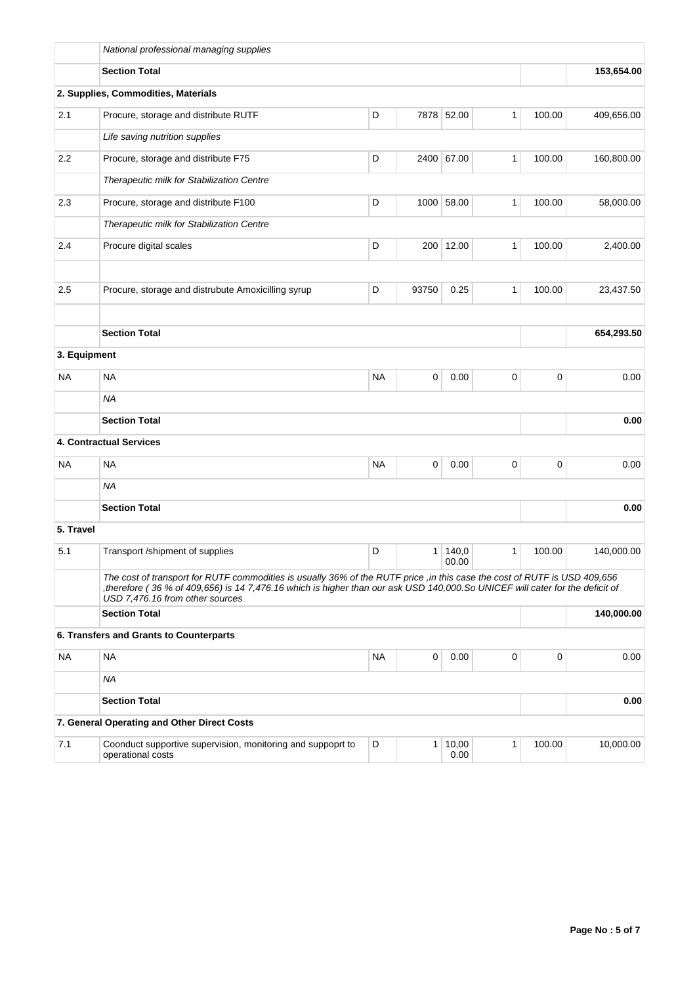|              | National professional managing supplies                                                                                                                                                                                                                                                     |           |                |                |              |             |            |
|--------------|---------------------------------------------------------------------------------------------------------------------------------------------------------------------------------------------------------------------------------------------------------------------------------------------|-----------|----------------|----------------|--------------|-------------|------------|
|              | <b>Section Total</b>                                                                                                                                                                                                                                                                        |           |                |                |              |             | 153,654.00 |
|              | 2. Supplies, Commodities, Materials                                                                                                                                                                                                                                                         |           |                |                |              |             |            |
| 2.1          | Procure, storage and distribute RUTF                                                                                                                                                                                                                                                        | D         |                | 7878 52.00     | $\mathbf{1}$ | 100.00      | 409,656.00 |
|              | Life saving nutrition supplies                                                                                                                                                                                                                                                              |           |                |                |              |             |            |
| 2.2          | Procure, storage and distribute F75                                                                                                                                                                                                                                                         | D         |                | 2400 67.00     | $\mathbf{1}$ | 100.00      | 160,800.00 |
|              | Therapeutic milk for Stabilization Centre                                                                                                                                                                                                                                                   |           |                |                |              |             |            |
| 2.3          | Procure, storage and distribute F100                                                                                                                                                                                                                                                        | D         | 1000           | 58.00          | 1            | 100.00      | 58,000.00  |
|              | Therapeutic milk for Stabilization Centre                                                                                                                                                                                                                                                   |           |                |                |              |             |            |
| 2.4          | Procure digital scales                                                                                                                                                                                                                                                                      | D         |                | 200 12.00      | $\mathbf{1}$ | 100.00      | 2,400.00   |
| 2.5          | Procure, storage and distrubute Amoxicilling syrup                                                                                                                                                                                                                                          | D         | 93750          | 0.25           | 1            | 100.00      | 23,437.50  |
|              |                                                                                                                                                                                                                                                                                             |           |                |                |              |             |            |
|              | <b>Section Total</b>                                                                                                                                                                                                                                                                        |           |                |                |              |             | 654,293.50 |
| 3. Equipment |                                                                                                                                                                                                                                                                                             |           |                |                |              |             |            |
| NA           | <b>NA</b>                                                                                                                                                                                                                                                                                   | <b>NA</b> | 0              | 0.00           | 0            | $\mathbf 0$ | 0.00       |
|              | <b>NA</b>                                                                                                                                                                                                                                                                                   |           |                |                |              |             |            |
|              | <b>Section Total</b>                                                                                                                                                                                                                                                                        |           |                |                |              |             | 0.00       |
|              | 4. Contractual Services                                                                                                                                                                                                                                                                     |           |                |                |              |             |            |
| NA           | <b>NA</b>                                                                                                                                                                                                                                                                                   | <b>NA</b> | 0              | 0.00           | 0            | $\mathbf 0$ | 0.00       |
|              | <b>NA</b>                                                                                                                                                                                                                                                                                   |           |                |                |              |             |            |
|              | <b>Section Total</b>                                                                                                                                                                                                                                                                        |           |                |                |              |             | 0.00       |
| 5. Travel    |                                                                                                                                                                                                                                                                                             |           |                |                |              |             |            |
| 5.1          | Transport /shipment of supplies                                                                                                                                                                                                                                                             | D         | 1              | 140,0<br>00.00 | 1            | 100.00      | 140,000.00 |
|              | The cost of transport for RUTF commodities is usually 36% of the RUTF price, in this case the cost of RUTF is USD 409,656<br>therefore (36 % of 409,656) is 14 7,476.16 which is higher than our ask USD 140,000.So UNICEF will cater for the deficit of<br>USD 7,476.16 from other sources |           |                |                |              |             |            |
|              | <b>Section Total</b>                                                                                                                                                                                                                                                                        |           |                |                |              |             | 140,000.00 |
|              | 6. Transfers and Grants to Counterparts                                                                                                                                                                                                                                                     |           |                |                |              |             |            |
| <b>NA</b>    | <b>NA</b>                                                                                                                                                                                                                                                                                   | <b>NA</b> | 0              | 0.00           | $\pmb{0}$    | 0           | 0.00       |
|              | <b>NA</b>                                                                                                                                                                                                                                                                                   |           |                |                |              |             |            |
|              | <b>Section Total</b>                                                                                                                                                                                                                                                                        |           |                |                |              |             | 0.00       |
|              | 7. General Operating and Other Direct Costs                                                                                                                                                                                                                                                 |           |                |                |              |             |            |
| 7.1          | Coonduct supportive supervision, monitoring and suppoprt to<br>operational costs                                                                                                                                                                                                            | D         | 1 <sup>1</sup> | 10,00<br>0.00  | 1            | 100.00      | 10,000.00  |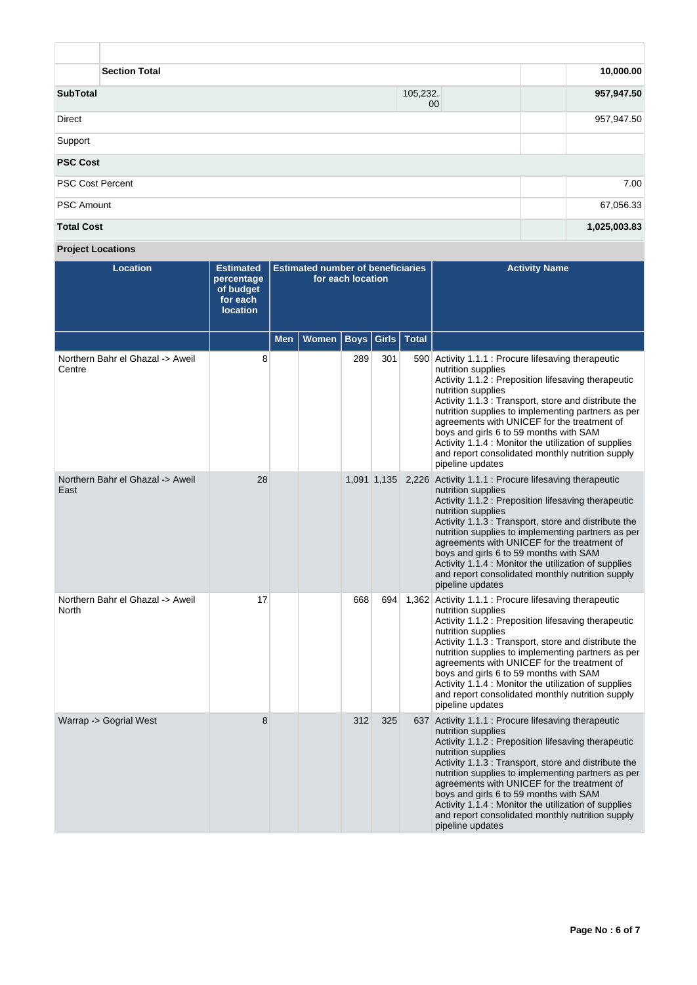| <b>Section Total</b>    |                             |              |  |  |  |  |  |
|-------------------------|-----------------------------|--------------|--|--|--|--|--|
| <b>SubTotal</b>         | 105,232.<br>00 <sub>0</sub> | 957,947.50   |  |  |  |  |  |
| Direct                  |                             | 957,947.50   |  |  |  |  |  |
| Support                 |                             |              |  |  |  |  |  |
| <b>PSC Cost</b>         |                             |              |  |  |  |  |  |
| <b>PSC Cost Percent</b> |                             | 7.00         |  |  |  |  |  |
| <b>PSC Amount</b>       |                             | 67,056.33    |  |  |  |  |  |
| <b>Total Cost</b>       |                             | 1,025,003.83 |  |  |  |  |  |

**Project Locations**

| <b>Location</b>                            | <b>Estimated</b><br>percentage<br>of budget<br>for each<br><b>location</b> | <b>Estimated number of beneficiaries</b><br>for each location |              |      |             |               | <b>Activity Name</b>                                                                                                                                                                                                                                                                                                                                                                                                                                                                           |
|--------------------------------------------|----------------------------------------------------------------------------|---------------------------------------------------------------|--------------|------|-------------|---------------|------------------------------------------------------------------------------------------------------------------------------------------------------------------------------------------------------------------------------------------------------------------------------------------------------------------------------------------------------------------------------------------------------------------------------------------------------------------------------------------------|
|                                            |                                                                            | <b>Men</b>                                                    | <b>Women</b> | Boys |             | Girls   Total |                                                                                                                                                                                                                                                                                                                                                                                                                                                                                                |
| Northern Bahr el Ghazal -> Aweil<br>Centre | 8                                                                          |                                                               |              | 289  | 301         |               | 590 Activity 1.1.1 : Procure lifesaving therapeutic<br>nutrition supplies<br>Activity 1.1.2: Preposition lifesaving therapeutic<br>nutrition supplies<br>Activity 1.1.3 : Transport, store and distribute the<br>nutrition supplies to implementing partners as per<br>agreements with UNICEF for the treatment of<br>boys and girls 6 to 59 months with SAM<br>Activity 1.1.4 : Monitor the utilization of supplies<br>and report consolidated monthly nutrition supply<br>pipeline updates   |
| Northern Bahr el Ghazal -> Aweil<br>East   | 28                                                                         |                                                               |              |      | 1,091 1,135 |               | 2,226 Activity 1.1.1 : Procure lifesaving therapeutic<br>nutrition supplies<br>Activity 1.1.2: Preposition lifesaving therapeutic<br>nutrition supplies<br>Activity 1.1.3 : Transport, store and distribute the<br>nutrition supplies to implementing partners as per<br>agreements with UNICEF for the treatment of<br>boys and girls 6 to 59 months with SAM<br>Activity 1.1.4 : Monitor the utilization of supplies<br>and report consolidated monthly nutrition supply<br>pipeline updates |
| Northern Bahr el Ghazal -> Aweil<br>North  | 17                                                                         |                                                               |              | 668  | 694         |               | 1,362 Activity 1.1.1 : Procure lifesaving therapeutic<br>nutrition supplies<br>Activity 1.1.2: Preposition lifesaving therapeutic<br>nutrition supplies<br>Activity 1.1.3 : Transport, store and distribute the<br>nutrition supplies to implementing partners as per<br>agreements with UNICEF for the treatment of<br>boys and girls 6 to 59 months with SAM<br>Activity 1.1.4 : Monitor the utilization of supplies<br>and report consolidated monthly nutrition supply<br>pipeline updates |
| Warrap -> Gogrial West                     | 8                                                                          |                                                               |              | 312  | 325         |               | 637 Activity 1.1.1 : Procure lifesaving therapeutic<br>nutrition supplies<br>Activity 1.1.2: Preposition lifesaving therapeutic<br>nutrition supplies<br>Activity 1.1.3 : Transport, store and distribute the<br>nutrition supplies to implementing partners as per<br>agreements with UNICEF for the treatment of<br>boys and girls 6 to 59 months with SAM<br>Activity 1.1.4 : Monitor the utilization of supplies<br>and report consolidated monthly nutrition supply<br>pipeline updates   |